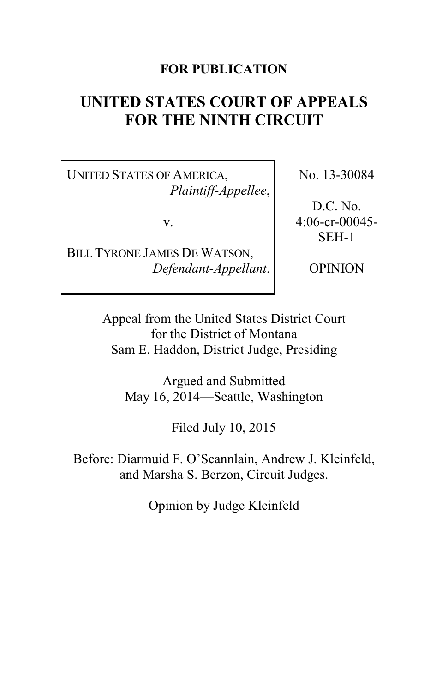# **FOR PUBLICATION**

# **UNITED STATES COURT OF APPEALS FOR THE NINTH CIRCUIT**

UNITED STATES OF AMERICA, *Plaintiff-Appellee*,

v.

BILL TYRONE JAMES DE WATSON, *Defendant-Appellant*. No. 13-30084

D.C. No. 4:06-cr-00045- SEH-1

OPINION

Appeal from the United States District Court for the District of Montana Sam E. Haddon, District Judge, Presiding

Argued and Submitted May 16, 2014—Seattle, Washington

Filed July 10, 2015

Before: Diarmuid F. O'Scannlain, Andrew J. Kleinfeld, and Marsha S. Berzon, Circuit Judges.

Opinion by Judge Kleinfeld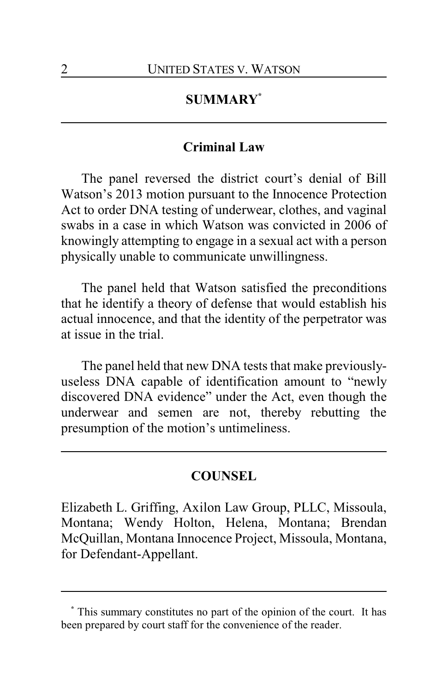# **SUMMARY\***

## **Criminal Law**

The panel reversed the district court's denial of Bill Watson's 2013 motion pursuant to the Innocence Protection Act to order DNA testing of underwear, clothes, and vaginal swabs in a case in which Watson was convicted in 2006 of knowingly attempting to engage in a sexual act with a person physically unable to communicate unwillingness.

The panel held that Watson satisfied the preconditions that he identify a theory of defense that would establish his actual innocence, and that the identity of the perpetrator was at issue in the trial.

The panel held that new DNA tests that make previouslyuseless DNA capable of identification amount to "newly discovered DNA evidence" under the Act, even though the underwear and semen are not, thereby rebutting the presumption of the motion's untimeliness.

# **COUNSEL**

Elizabeth L. Griffing, Axilon Law Group, PLLC, Missoula, Montana; Wendy Holton, Helena, Montana; Brendan McQuillan, Montana Innocence Project, Missoula, Montana, for Defendant-Appellant.

**<sup>\*</sup>** This summary constitutes no part of the opinion of the court. It has been prepared by court staff for the convenience of the reader.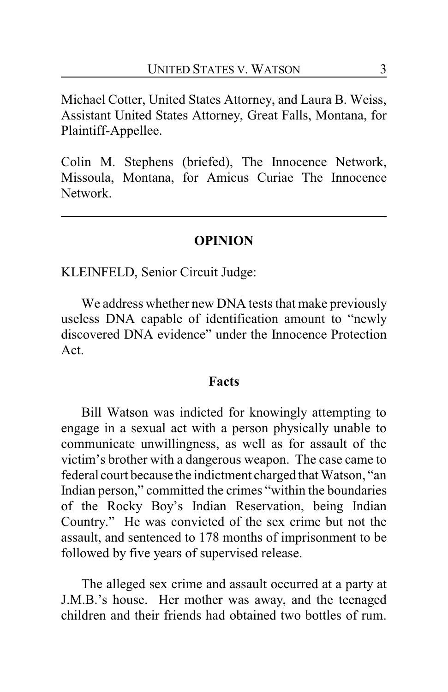Michael Cotter, United States Attorney, and Laura B. Weiss, Assistant United States Attorney, Great Falls, Montana, for Plaintiff-Appellee.

Colin M. Stephens (briefed), The Innocence Network, Missoula, Montana, for Amicus Curiae The Innocence Network.

### **OPINION**

KLEINFELD, Senior Circuit Judge:

We address whether new DNA tests that make previously useless DNA capable of identification amount to "newly discovered DNA evidence" under the Innocence Protection Act.

#### **Facts**

Bill Watson was indicted for knowingly attempting to engage in a sexual act with a person physically unable to communicate unwillingness, as well as for assault of the victim's brother with a dangerous weapon. The case came to federal court because the indictment charged that Watson, "an Indian person," committed the crimes "within the boundaries of the Rocky Boy's Indian Reservation, being Indian Country." He was convicted of the sex crime but not the assault, and sentenced to 178 months of imprisonment to be followed by five years of supervised release.

The alleged sex crime and assault occurred at a party at J.M.B.'s house. Her mother was away, and the teenaged children and their friends had obtained two bottles of rum.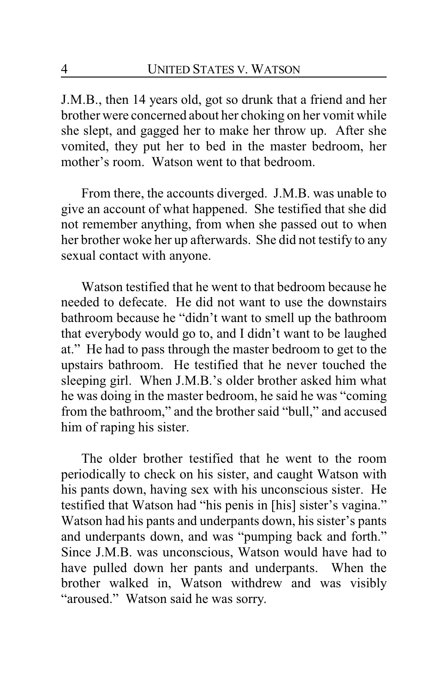J.M.B., then 14 years old, got so drunk that a friend and her brother were concerned about her choking on her vomit while she slept, and gagged her to make her throw up. After she vomited, they put her to bed in the master bedroom, her mother's room. Watson went to that bedroom.

From there, the accounts diverged. J.M.B. was unable to give an account of what happened. She testified that she did not remember anything, from when she passed out to when her brother woke her up afterwards. She did not testify to any sexual contact with anyone.

Watson testified that he went to that bedroom because he needed to defecate. He did not want to use the downstairs bathroom because he "didn't want to smell up the bathroom that everybody would go to, and I didn't want to be laughed at." He had to pass through the master bedroom to get to the upstairs bathroom. He testified that he never touched the sleeping girl. When J.M.B.'s older brother asked him what he was doing in the master bedroom, he said he was "coming from the bathroom," and the brother said "bull," and accused him of raping his sister.

The older brother testified that he went to the room periodically to check on his sister, and caught Watson with his pants down, having sex with his unconscious sister. He testified that Watson had "his penis in [his] sister's vagina." Watson had his pants and underpants down, his sister's pants and underpants down, and was "pumping back and forth." Since J.M.B. was unconscious, Watson would have had to have pulled down her pants and underpants. When the brother walked in, Watson withdrew and was visibly "aroused." Watson said he was sorry.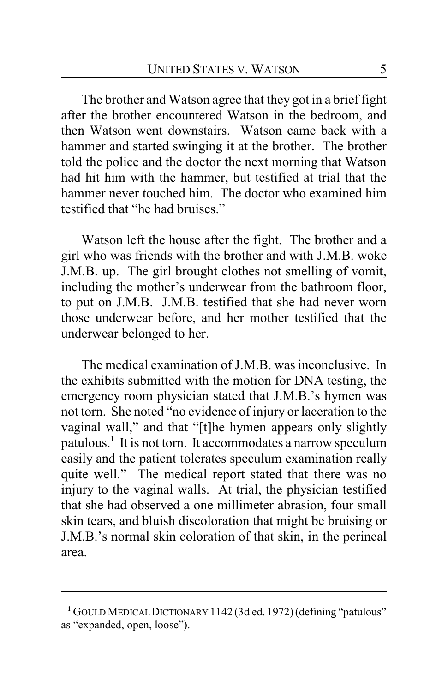The brother and Watson agree that they got in a brief fight after the brother encountered Watson in the bedroom, and then Watson went downstairs. Watson came back with a hammer and started swinging it at the brother. The brother told the police and the doctor the next morning that Watson had hit him with the hammer, but testified at trial that the hammer never touched him. The doctor who examined him testified that "he had bruises"

Watson left the house after the fight. The brother and a girl who was friends with the brother and with J.M.B. woke J.M.B. up. The girl brought clothes not smelling of vomit, including the mother's underwear from the bathroom floor, to put on J.M.B. J.M.B. testified that she had never worn those underwear before, and her mother testified that the underwear belonged to her.

The medical examination of J.M.B. was inconclusive. In the exhibits submitted with the motion for DNA testing, the emergency room physician stated that J.M.B.'s hymen was not torn. She noted "no evidence of injury or laceration to the vaginal wall," and that "[t]he hymen appears only slightly patulous.**<sup>1</sup>** It is not torn. It accommodates a narrow speculum easily and the patient tolerates speculum examination really quite well." The medical report stated that there was no injury to the vaginal walls. At trial, the physician testified that she had observed a one millimeter abrasion, four small skin tears, and bluish discoloration that might be bruising or J.M.B.'s normal skin coloration of that skin, in the perineal area.

**<sup>1</sup>** GOULD MEDICALDICTIONARY 1142 (3d ed. 1972)(defining "patulous" as "expanded, open, loose").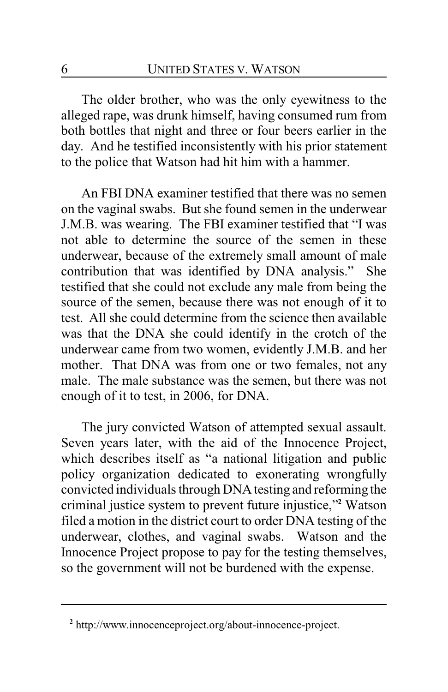The older brother, who was the only eyewitness to the alleged rape, was drunk himself, having consumed rum from both bottles that night and three or four beers earlier in the day. And he testified inconsistently with his prior statement to the police that Watson had hit him with a hammer.

An FBI DNA examiner testified that there was no semen on the vaginal swabs. But she found semen in the underwear J.M.B. was wearing. The FBI examiner testified that "I was not able to determine the source of the semen in these underwear, because of the extremely small amount of male contribution that was identified by DNA analysis." She testified that she could not exclude any male from being the source of the semen, because there was not enough of it to test. All she could determine from the science then available was that the DNA she could identify in the crotch of the underwear came from two women, evidently J.M.B. and her mother. That DNA was from one or two females, not any male. The male substance was the semen, but there was not enough of it to test, in 2006, for DNA.

The jury convicted Watson of attempted sexual assault. Seven years later, with the aid of the Innocence Project, which describes itself as "a national litigation and public policy organization dedicated to exonerating wrongfully convicted individuals through DNA testing and reforming the criminal justice system to prevent future injustice,"**<sup>2</sup>** Watson filed a motion in the district court to order DNA testing of the underwear, clothes, and vaginal swabs. Watson and the Innocence Project propose to pay for the testing themselves, so the government will not be burdened with the expense.

**<sup>2</sup>** http://www.innocenceproject.org/about-innocence-project.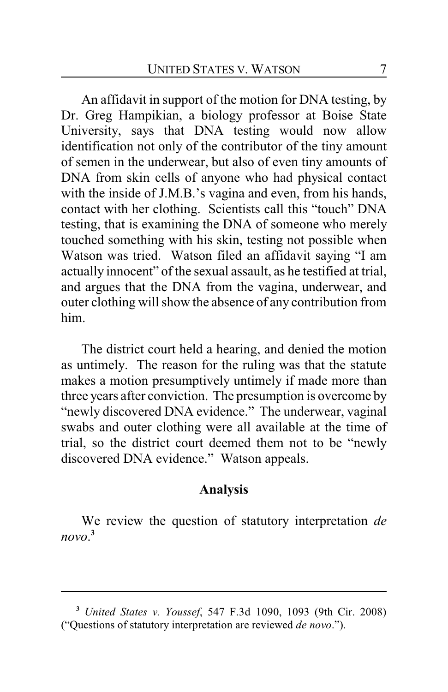An affidavit in support of the motion for DNA testing, by Dr. Greg Hampikian, a biology professor at Boise State University, says that DNA testing would now allow identification not only of the contributor of the tiny amount of semen in the underwear, but also of even tiny amounts of DNA from skin cells of anyone who had physical contact with the inside of J.M.B.'s vagina and even, from his hands, contact with her clothing. Scientists call this "touch" DNA testing, that is examining the DNA of someone who merely touched something with his skin, testing not possible when Watson was tried. Watson filed an affidavit saying "I am actually innocent" of the sexual assault, as he testified at trial, and argues that the DNA from the vagina, underwear, and outer clothing will show the absence of any contribution from him.

The district court held a hearing, and denied the motion as untimely. The reason for the ruling was that the statute makes a motion presumptively untimely if made more than three years after conviction. The presumption is overcome by "newly discovered DNA evidence." The underwear, vaginal swabs and outer clothing were all available at the time of trial, so the district court deemed them not to be "newly discovered DNA evidence." Watson appeals.

### **Analysis**

We review the question of statutory interpretation *de novo*. **3**

**<sup>3</sup>** *United States v. Youssef*, 547 F.3d 1090, 1093 (9th Cir. 2008) ("Questions of statutory interpretation are reviewed *de novo*.").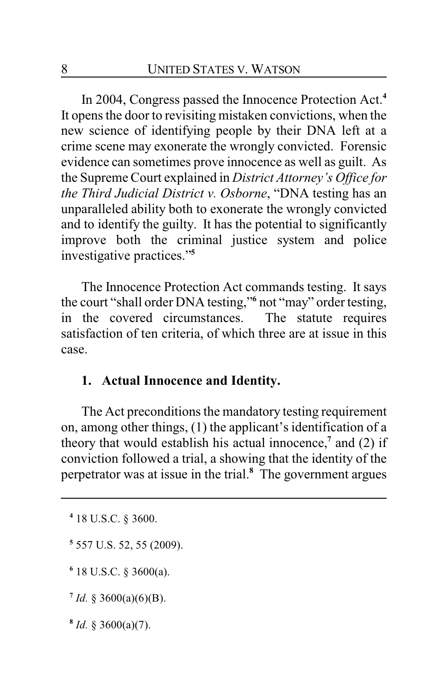In 2004, Congress passed the Innocence Protection Act.**<sup>4</sup>** It opens the door to revisiting mistaken convictions, when the new science of identifying people by their DNA left at a crime scene may exonerate the wrongly convicted. Forensic evidence can sometimes prove innocence as well as guilt. As the Supreme Court explained in *District Attorney's Office for the Third Judicial District v. Osborne*, "DNA testing has an unparalleled ability both to exonerate the wrongly convicted and to identify the guilty. It has the potential to significantly improve both the criminal justice system and police investigative practices."**<sup>5</sup>**

The Innocence Protection Act commands testing. It says the court "shall order DNA testing,"**<sup>6</sup>** not "may" order testing, in the covered circumstances. The statute requires satisfaction of ten criteria, of which three are at issue in this case.

# **1. Actual Innocence and Identity.**

The Act preconditions the mandatory testing requirement on, among other things, (1) the applicant's identification of a theory that would establish his actual innocence,**<sup>7</sup>** and (2) if conviction followed a trial, a showing that the identity of the perpetrator was at issue in the trial.**<sup>8</sup>** The government argues

- **5** 557 U.S. 52, 55 (2009).
- **6** 18 U.S.C. § 3600(a).
- $7$  *Id.* § 3600(a)(6)(B).
- **8** *Id.* § 3600(a)(7).

**<sup>4</sup>** 18 U.S.C. § 3600.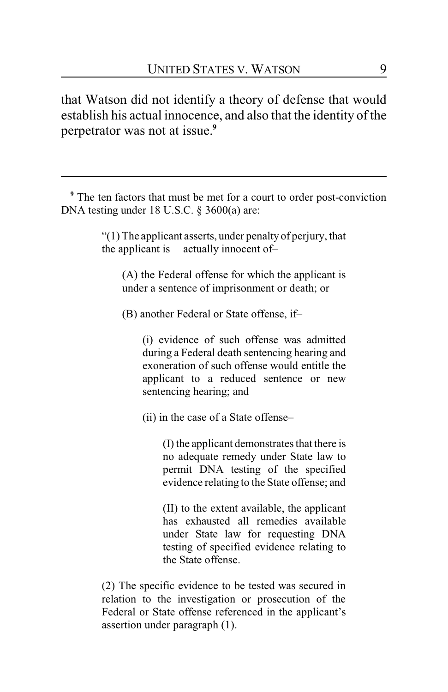that Watson did not identify a theory of defense that would establish his actual innocence, and also that the identity of the perpetrator was not at issue.**<sup>9</sup>**

**<sup>9</sup>** The ten factors that must be met for a court to order post-conviction DNA testing under 18 U.S.C. § 3600(a) are:

> "(1) The applicant asserts, under penalty of perjury, that the applicant is actually innocent of–

(A) the Federal offense for which the applicant is under a sentence of imprisonment or death; or

(B) another Federal or State offense, if–

(i) evidence of such offense was admitted during a Federal death sentencing hearing and exoneration of such offense would entitle the applicant to a reduced sentence or new sentencing hearing; and

(ii) in the case of a State offense–

(I) the applicant demonstrates that there is no adequate remedy under State law to permit DNA testing of the specified evidence relating to the State offense; and

(II) to the extent available, the applicant has exhausted all remedies available under State law for requesting DNA testing of specified evidence relating to the State offense.

(2) The specific evidence to be tested was secured in relation to the investigation or prosecution of the Federal or State offense referenced in the applicant's assertion under paragraph (1).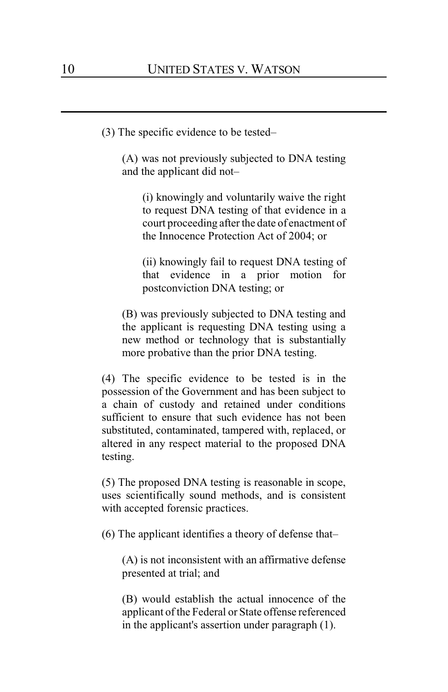(3) The specific evidence to be tested–

(A) was not previously subjected to DNA testing and the applicant did not–

(i) knowingly and voluntarily waive the right to request DNA testing of that evidence in a court proceeding after the date of enactment of the Innocence Protection Act of 2004; or

(ii) knowingly fail to request DNA testing of that evidence in a prior motion for postconviction DNA testing; or

(B) was previously subjected to DNA testing and the applicant is requesting DNA testing using a new method or technology that is substantially more probative than the prior DNA testing.

(4) The specific evidence to be tested is in the possession of the Government and has been subject to a chain of custody and retained under conditions sufficient to ensure that such evidence has not been substituted, contaminated, tampered with, replaced, or altered in any respect material to the proposed DNA testing.

(5) The proposed DNA testing is reasonable in scope, uses scientifically sound methods, and is consistent with accepted forensic practices.

(6) The applicant identifies a theory of defense that–

(A) is not inconsistent with an affirmative defense presented at trial; and

(B) would establish the actual innocence of the applicant of the Federal or State offense referenced in the applicant's assertion under paragraph (1).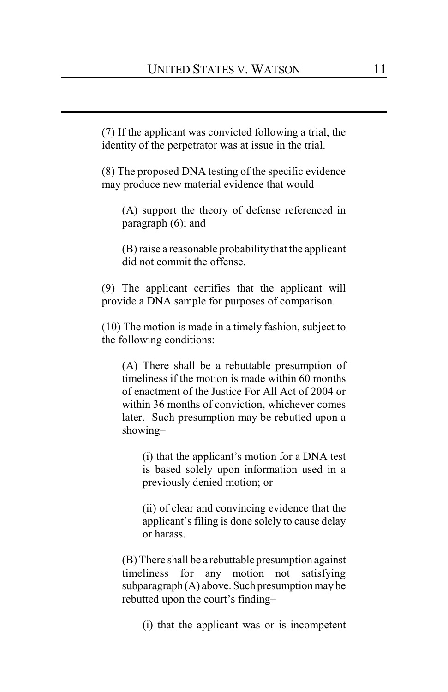(7) If the applicant was convicted following a trial, the identity of the perpetrator was at issue in the trial.

(8) The proposed DNA testing of the specific evidence may produce new material evidence that would–

(A) support the theory of defense referenced in paragraph (6); and

(B) raise a reasonable probability that the applicant did not commit the offense.

(9) The applicant certifies that the applicant will provide a DNA sample for purposes of comparison.

(10) The motion is made in a timely fashion, subject to the following conditions:

(A) There shall be a rebuttable presumption of timeliness if the motion is made within 60 months of enactment of the Justice For All Act of 2004 or within 36 months of conviction, whichever comes later. Such presumption may be rebutted upon a showing–

(i) that the applicant's motion for a DNA test is based solely upon information used in a previously denied motion; or

(ii) of clear and convincing evidence that the applicant's filing is done solely to cause delay or harass.

(B) There shall be a rebuttable presumption against timeliness for any motion not satisfying  $subparagnh(A)$  above. Such presumption may be rebutted upon the court's finding–

(i) that the applicant was or is incompetent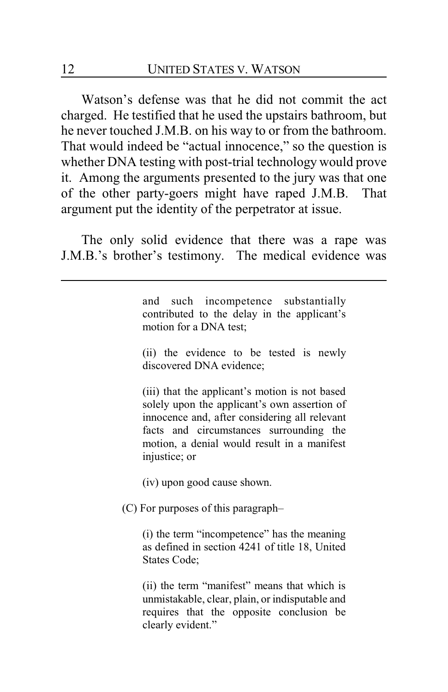Watson's defense was that he did not commit the act charged. He testified that he used the upstairs bathroom, but he never touched J.M.B. on his way to or from the bathroom. That would indeed be "actual innocence," so the question is whether DNA testing with post-trial technology would prove it. Among the arguments presented to the jury was that one of the other party-goers might have raped J.M.B. That argument put the identity of the perpetrator at issue.

The only solid evidence that there was a rape was J.M.B.'s brother's testimony. The medical evidence was

> and such incompetence substantially contributed to the delay in the applicant's motion for a DNA test;

> (ii) the evidence to be tested is newly discovered DNA evidence;

> (iii) that the applicant's motion is not based solely upon the applicant's own assertion of innocence and, after considering all relevant facts and circumstances surrounding the motion, a denial would result in a manifest injustice; or

(iv) upon good cause shown.

(C) For purposes of this paragraph–

(i) the term "incompetence" has the meaning as defined in section 4241 of title 18, United States Code;

(ii) the term "manifest" means that which is unmistakable, clear, plain, or indisputable and requires that the opposite conclusion be clearly evident."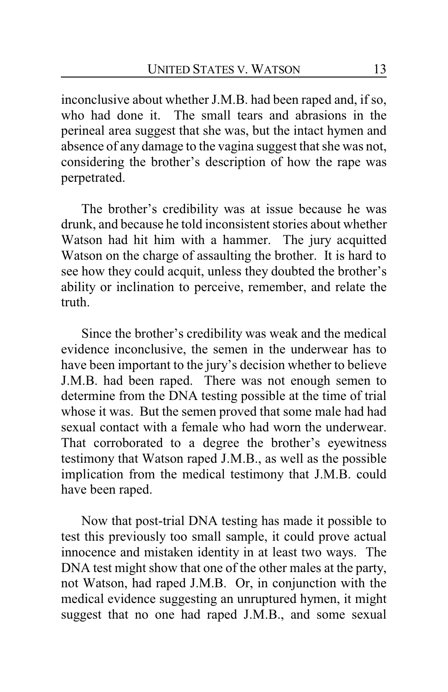inconclusive about whether J.M.B. had been raped and, if so, who had done it. The small tears and abrasions in the perineal area suggest that she was, but the intact hymen and absence of any damage to the vagina suggest that she was not, considering the brother's description of how the rape was perpetrated.

The brother's credibility was at issue because he was drunk, and because he told inconsistent stories about whether Watson had hit him with a hammer. The jury acquitted Watson on the charge of assaulting the brother. It is hard to see how they could acquit, unless they doubted the brother's ability or inclination to perceive, remember, and relate the truth.

Since the brother's credibility was weak and the medical evidence inconclusive, the semen in the underwear has to have been important to the jury's decision whether to believe J.M.B. had been raped. There was not enough semen to determine from the DNA testing possible at the time of trial whose it was. But the semen proved that some male had had sexual contact with a female who had worn the underwear. That corroborated to a degree the brother's eyewitness testimony that Watson raped J.M.B., as well as the possible implication from the medical testimony that J.M.B. could have been raped.

Now that post-trial DNA testing has made it possible to test this previously too small sample, it could prove actual innocence and mistaken identity in at least two ways. The DNA test might show that one of the other males at the party, not Watson, had raped J.M.B. Or, in conjunction with the medical evidence suggesting an unruptured hymen, it might suggest that no one had raped J.M.B., and some sexual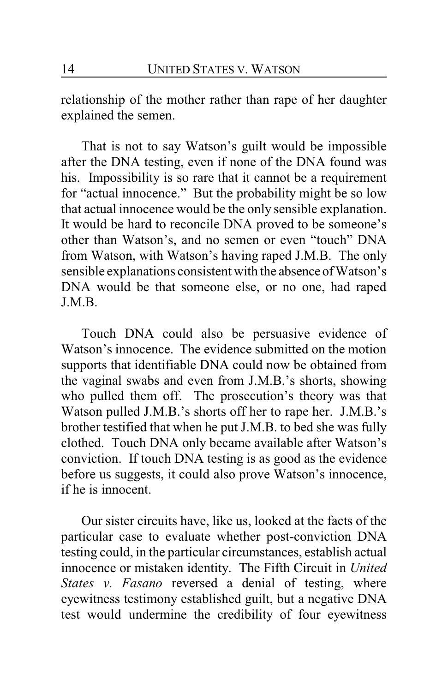relationship of the mother rather than rape of her daughter explained the semen.

That is not to say Watson's guilt would be impossible after the DNA testing, even if none of the DNA found was his. Impossibility is so rare that it cannot be a requirement for "actual innocence." But the probability might be so low that actual innocence would be the only sensible explanation. It would be hard to reconcile DNA proved to be someone's other than Watson's, and no semen or even "touch" DNA from Watson, with Watson's having raped J.M.B. The only sensible explanations consistent with the absence of Watson's DNA would be that someone else, or no one, had raped J.M.B.

Touch DNA could also be persuasive evidence of Watson's innocence. The evidence submitted on the motion supports that identifiable DNA could now be obtained from the vaginal swabs and even from J.M.B.'s shorts, showing who pulled them off. The prosecution's theory was that Watson pulled J.M.B.'s shorts off her to rape her. J.M.B.'s brother testified that when he put J.M.B. to bed she was fully clothed. Touch DNA only became available after Watson's conviction. If touch DNA testing is as good as the evidence before us suggests, it could also prove Watson's innocence, if he is innocent.

Our sister circuits have, like us, looked at the facts of the particular case to evaluate whether post-conviction DNA testing could, in the particular circumstances, establish actual innocence or mistaken identity. The Fifth Circuit in *United States v. Fasano* reversed a denial of testing, where eyewitness testimony established guilt, but a negative DNA test would undermine the credibility of four eyewitness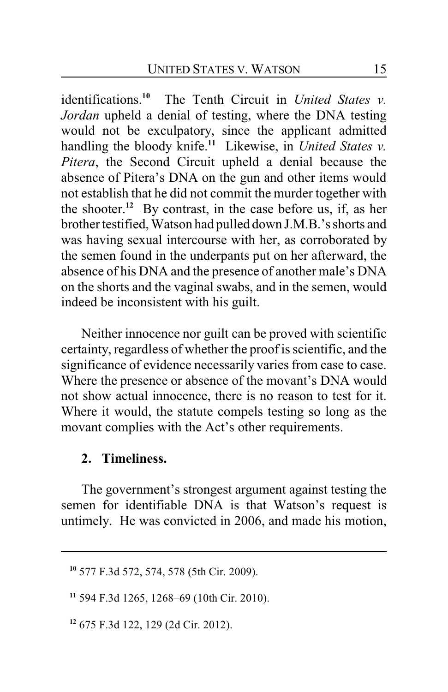identifications.**<sup>10</sup>** The Tenth Circuit in *United States v. Jordan* upheld a denial of testing, where the DNA testing would not be exculpatory, since the applicant admitted handling the bloody knife.**<sup>11</sup>** Likewise, in *United States v. Pitera*, the Second Circuit upheld a denial because the absence of Pitera's DNA on the gun and other items would not establish that he did not commit the murder together with the shooter.**<sup>12</sup>** By contrast, in the case before us, if, as her brother testified, Watson had pulled down J.M.B.'s shorts and was having sexual intercourse with her, as corroborated by the semen found in the underpants put on her afterward, the absence of his DNA and the presence of another male's DNA on the shorts and the vaginal swabs, and in the semen, would indeed be inconsistent with his guilt.

Neither innocence nor guilt can be proved with scientific certainty, regardless of whether the proof is scientific, and the significance of evidence necessarily varies from case to case. Where the presence or absence of the movant's DNA would not show actual innocence, there is no reason to test for it. Where it would, the statute compels testing so long as the movant complies with the Act's other requirements.

### **2. Timeliness.**

The government's strongest argument against testing the semen for identifiable DNA is that Watson's request is untimely. He was convicted in 2006, and made his motion,

**<sup>10</sup>** 577 F.3d 572, 574, 578 (5th Cir. 2009).

**<sup>11</sup>** 594 F.3d 1265, 1268–69 (10th Cir. 2010).

**<sup>12</sup>** 675 F.3d 122, 129 (2d Cir. 2012).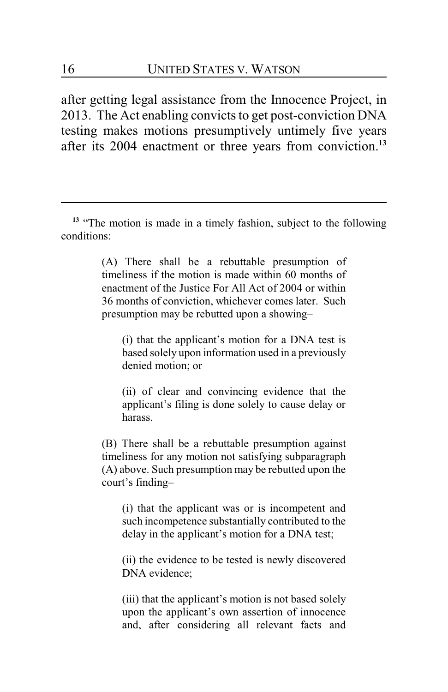after getting legal assistance from the Innocence Project, in 2013. The Act enabling convicts to get post-conviction DNA testing makes motions presumptively untimely five years after its 2004 enactment or three years from conviction.**<sup>13</sup>**

<sup>13</sup> "The motion is made in a timely fashion, subject to the following conditions:

> (A) There shall be a rebuttable presumption of timeliness if the motion is made within 60 months of enactment of the Justice For All Act of 2004 or within 36 months of conviction, whichever comes later. Such presumption may be rebutted upon a showing–

(i) that the applicant's motion for a DNA test is based solely upon information used in a previously denied motion; or

(ii) of clear and convincing evidence that the applicant's filing is done solely to cause delay or harass.

(B) There shall be a rebuttable presumption against timeliness for any motion not satisfying subparagraph (A) above. Such presumption may be rebutted upon the court's finding–

(i) that the applicant was or is incompetent and such incompetence substantially contributed to the delay in the applicant's motion for a DNA test;

(ii) the evidence to be tested is newly discovered DNA evidence;

(iii) that the applicant's motion is not based solely upon the applicant's own assertion of innocence and, after considering all relevant facts and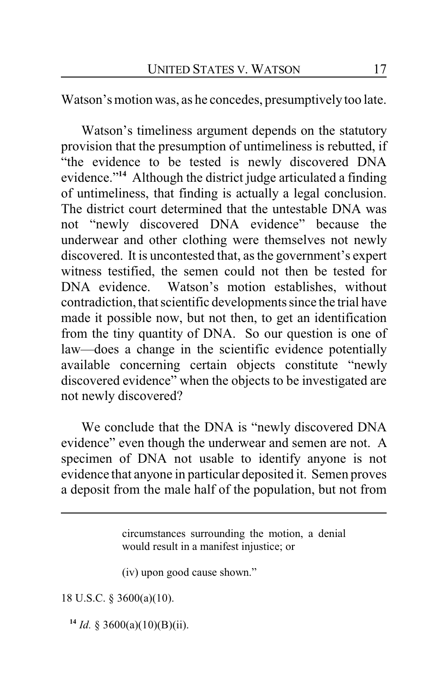Watson's motion was, as he concedes, presumptively too late.

Watson's timeliness argument depends on the statutory provision that the presumption of untimeliness is rebutted, if "the evidence to be tested is newly discovered DNA evidence."**<sup>14</sup>** Although the district judge articulated a finding of untimeliness, that finding is actually a legal conclusion. The district court determined that the untestable DNA was not "newly discovered DNA evidence" because the underwear and other clothing were themselves not newly discovered. It is uncontested that, as the government's expert witness testified, the semen could not then be tested for DNA evidence. Watson's motion establishes, without contradiction, that scientific developments since the trial have made it possible now, but not then, to get an identification from the tiny quantity of DNA. So our question is one of law—does a change in the scientific evidence potentially available concerning certain objects constitute "newly discovered evidence" when the objects to be investigated are not newly discovered?

We conclude that the DNA is "newly discovered DNA evidence" even though the underwear and semen are not. A specimen of DNA not usable to identify anyone is not evidence that anyone in particular deposited it. Semen proves a deposit from the male half of the population, but not from

> circumstances surrounding the motion, a denial would result in a manifest injustice; or

(iv) upon good cause shown."

18 U.S.C. § 3600(a)(10).

 $14$  *Id.* § 3600(a)(10)(B)(ii).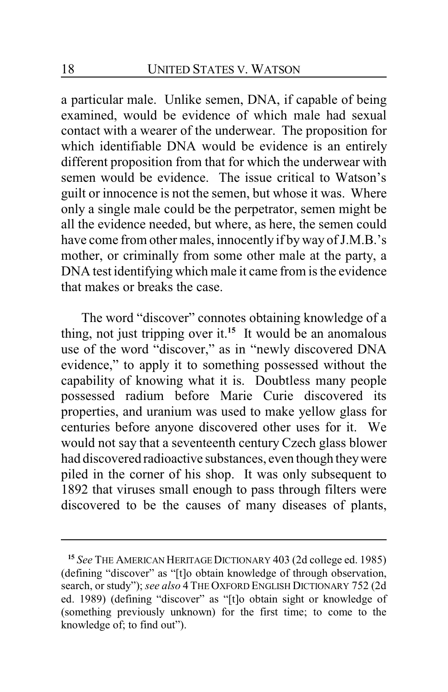a particular male. Unlike semen, DNA, if capable of being examined, would be evidence of which male had sexual contact with a wearer of the underwear. The proposition for which identifiable DNA would be evidence is an entirely different proposition from that for which the underwear with semen would be evidence. The issue critical to Watson's guilt or innocence is not the semen, but whose it was. Where only a single male could be the perpetrator, semen might be all the evidence needed, but where, as here, the semen could have come from other males, innocently if by way of J.M.B.'s mother, or criminally from some other male at the party, a DNA test identifying which male it came from is the evidence that makes or breaks the case.

The word "discover" connotes obtaining knowledge of a thing, not just tripping over it.**<sup>15</sup>** It would be an anomalous use of the word "discover," as in "newly discovered DNA evidence," to apply it to something possessed without the capability of knowing what it is. Doubtless many people possessed radium before Marie Curie discovered its properties, and uranium was used to make yellow glass for centuries before anyone discovered other uses for it. We would not say that a seventeenth century Czech glass blower had discovered radioactive substances, even though theywere piled in the corner of his shop. It was only subsequent to 1892 that viruses small enough to pass through filters were discovered to be the causes of many diseases of plants,

**<sup>15</sup>** *See* THE AMERICAN HERITAGEDICTIONARY 403 (2d college ed. 1985) (defining "discover" as "[t]o obtain knowledge of through observation, search, or study"); *see also* 4 THE OXFORD ENGLISH DICTIONARY 752 (2d ed. 1989) (defining "discover" as "[t]o obtain sight or knowledge of (something previously unknown) for the first time; to come to the knowledge of; to find out").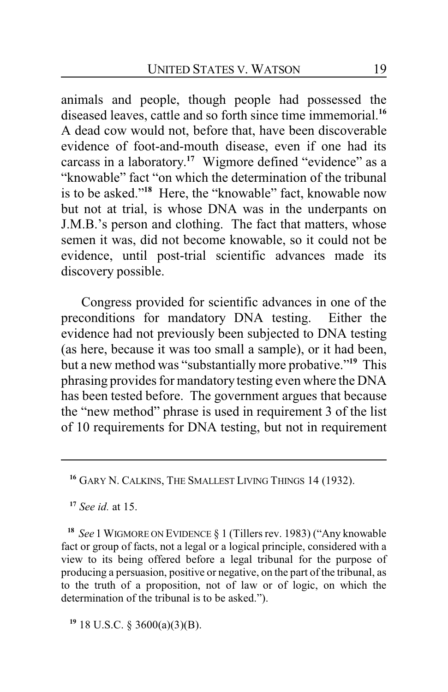animals and people, though people had possessed the diseased leaves, cattle and so forth since time immemorial.**<sup>16</sup>** A dead cow would not, before that, have been discoverable evidence of foot-and-mouth disease, even if one had its carcass in a laboratory. **<sup>17</sup>** Wigmore defined "evidence" as a "knowable" fact "on which the determination of the tribunal is to be asked."**<sup>18</sup>** Here, the "knowable" fact, knowable now but not at trial, is whose DNA was in the underpants on J.M.B.'s person and clothing. The fact that matters, whose semen it was, did not become knowable, so it could not be evidence, until post-trial scientific advances made its discovery possible.

Congress provided for scientific advances in one of the preconditions for mandatory DNA testing. Either the evidence had not previously been subjected to DNA testing (as here, because it was too small a sample), or it had been, but a new method was "substantially more probative."**<sup>19</sup>** This phrasing provides for mandatory testing even where the DNA has been tested before. The government argues that because the "new method" phrase is used in requirement 3 of the list of 10 requirements for DNA testing, but not in requirement

**<sup>17</sup>** *See id.* at 15.

**<sup>18</sup>** *See* 1 WIGMORE ON EVIDENCE § 1 (Tillers rev. 1983) ("Any knowable fact or group of facts, not a legal or a logical principle, considered with a view to its being offered before a legal tribunal for the purpose of producing a persuasion, positive or negative, on the part of the tribunal, as to the truth of a proposition, not of law or of logic, on which the determination of the tribunal is to be asked.").

**19** 18 U.S.C. § 3600(a)(3)(B).

**<sup>16</sup>** GARY N. CALKINS, THE SMALLEST LIVING THINGS 14 (1932).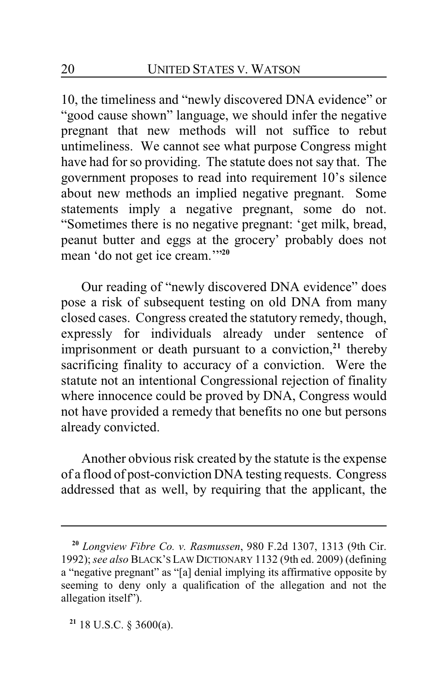10, the timeliness and "newly discovered DNA evidence" or "good cause shown" language, we should infer the negative pregnant that new methods will not suffice to rebut untimeliness. We cannot see what purpose Congress might have had for so providing. The statute does not say that. The government proposes to read into requirement 10's silence about new methods an implied negative pregnant. Some statements imply a negative pregnant, some do not. "Sometimes there is no negative pregnant: 'get milk, bread, peanut butter and eggs at the grocery' probably does not mean 'do not get ice cream.'"**<sup>20</sup>**

Our reading of "newly discovered DNA evidence" does pose a risk of subsequent testing on old DNA from many closed cases. Congress created the statutory remedy, though, expressly for individuals already under sentence of imprisonment or death pursuant to a conviction,<sup>21</sup> thereby sacrificing finality to accuracy of a conviction. Were the statute not an intentional Congressional rejection of finality where innocence could be proved by DNA, Congress would not have provided a remedy that benefits no one but persons already convicted.

Another obvious risk created by the statute is the expense of a flood of post-conviction DNA testing requests. Congress addressed that as well, by requiring that the applicant, the

**<sup>20</sup>** *Longview Fibre Co. v. Rasmussen*, 980 F.2d 1307, 1313 (9th Cir. 1992); *see also* BLACK'S LAW DICTIONARY 1132 (9th ed. 2009) (defining a "negative pregnant" as "[a] denial implying its affirmative opposite by seeming to deny only a qualification of the allegation and not the allegation itself").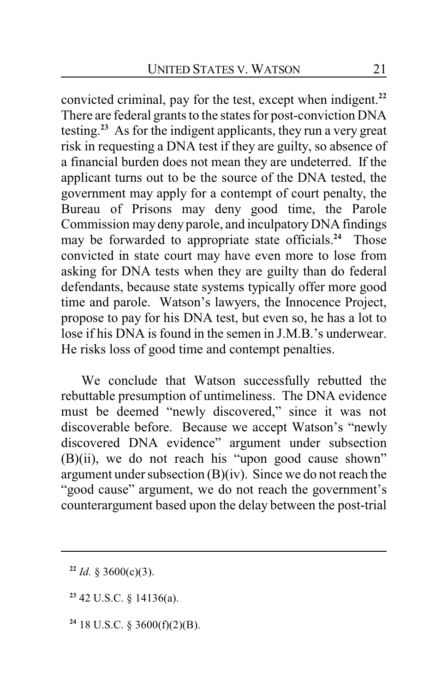convicted criminal, pay for the test, except when indigent.**<sup>22</sup>** There are federal grants to the states for post-conviction DNA testing. **<sup>23</sup>** As for the indigent applicants, they run a very great risk in requesting a DNA test if they are guilty, so absence of a financial burden does not mean they are undeterred. If the applicant turns out to be the source of the DNA tested, the government may apply for a contempt of court penalty, the Bureau of Prisons may deny good time, the Parole Commission may deny parole, and inculpatoryDNA findings may be forwarded to appropriate state officials.**<sup>24</sup>** Those convicted in state court may have even more to lose from asking for DNA tests when they are guilty than do federal defendants, because state systems typically offer more good time and parole. Watson's lawyers, the Innocence Project, propose to pay for his DNA test, but even so, he has a lot to lose if his DNA is found in the semen in J.M.B.'s underwear. He risks loss of good time and contempt penalties.

We conclude that Watson successfully rebutted the rebuttable presumption of untimeliness. The DNA evidence must be deemed "newly discovered," since it was not discoverable before. Because we accept Watson's "newly discovered DNA evidence" argument under subsection (B)(ii), we do not reach his "upon good cause shown" argument under subsection (B)(iv). Since we do not reach the "good cause" argument, we do not reach the government's counterargument based upon the delay between the post-trial

- **<sup>23</sup>** 42 U.S.C. § 14136(a).
- **24** 18 U.S.C. § 3600(f)(2)(B).

**<sup>22</sup>** *Id.* § 3600(c)(3).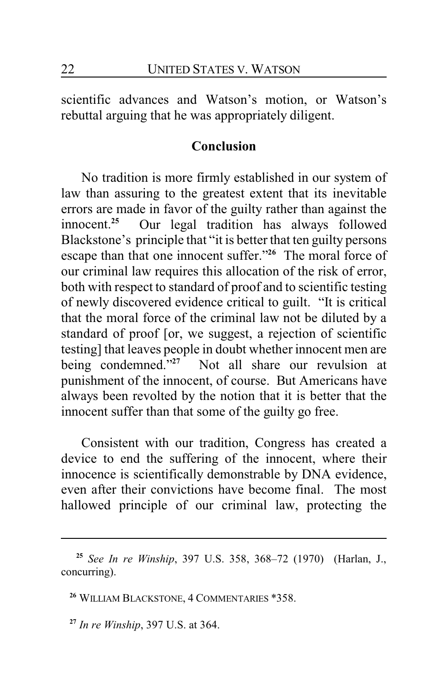scientific advances and Watson's motion, or Watson's rebuttal arguing that he was appropriately diligent.

# **Conclusion**

No tradition is more firmly established in our system of law than assuring to the greatest extent that its inevitable errors are made in favor of the guilty rather than against the innocent.**<sup>25</sup>** Our legal tradition has always followed Blackstone's principle that "it is better that ten guilty persons escape than that one innocent suffer."**<sup>26</sup>** The moral force of our criminal law requires this allocation of the risk of error, both with respect to standard of proof and to scientific testing of newly discovered evidence critical to guilt. "It is critical that the moral force of the criminal law not be diluted by a standard of proof [or, we suggest, a rejection of scientific testing] that leaves people in doubt whether innocent men are being condemned."**<sup>27</sup>** Not all share our revulsion at punishment of the innocent, of course. But Americans have always been revolted by the notion that it is better that the innocent suffer than that some of the guilty go free.

Consistent with our tradition, Congress has created a device to end the suffering of the innocent, where their innocence is scientifically demonstrable by DNA evidence, even after their convictions have become final. The most hallowed principle of our criminal law, protecting the

**<sup>25</sup>** *See In re Winship*, 397 U.S. 358, 368–72 (1970) (Harlan, J., concurring).

**<sup>26</sup>** WILLIAM BLACKSTONE, 4 COMMENTARIES \*358.

**<sup>27</sup>** *In re Winship*, 397 U.S. at 364.